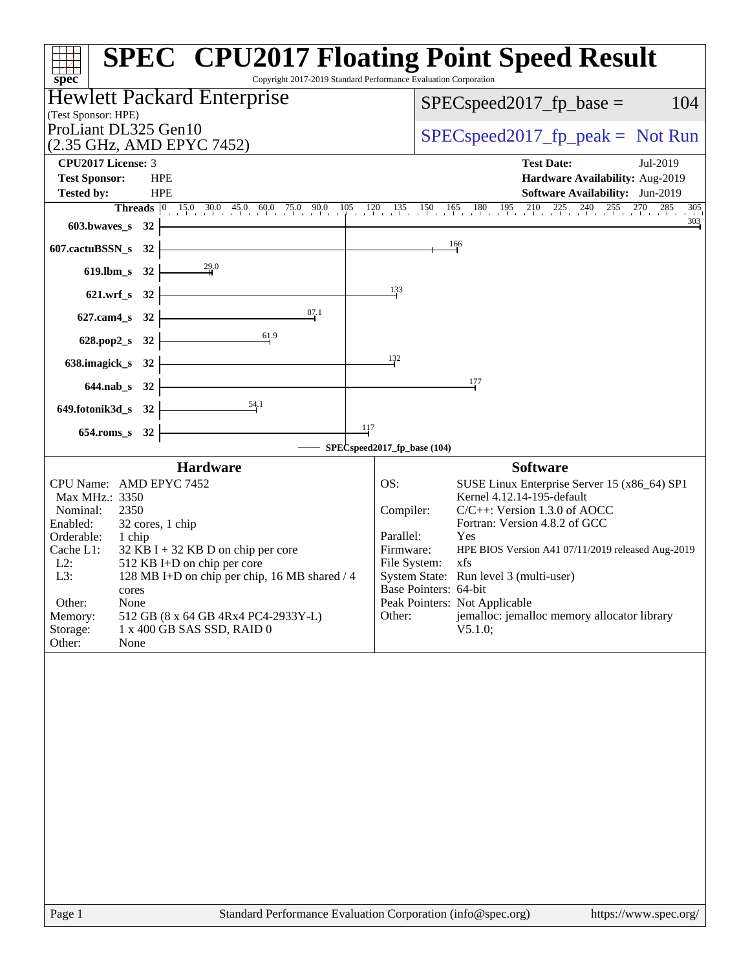| spec <sup>®</sup>                                                                                                                                                                                                                                                                                                                                                                                                                       | <b>SPEC<sup>®</sup> CPU2017 Floating Point Speed Result</b><br>Copyright 2017-2019 Standard Performance Evaluation Corporation                                                                                                                                                                                                                                                                                                                                             |
|-----------------------------------------------------------------------------------------------------------------------------------------------------------------------------------------------------------------------------------------------------------------------------------------------------------------------------------------------------------------------------------------------------------------------------------------|----------------------------------------------------------------------------------------------------------------------------------------------------------------------------------------------------------------------------------------------------------------------------------------------------------------------------------------------------------------------------------------------------------------------------------------------------------------------------|
| <b>Hewlett Packard Enterprise</b>                                                                                                                                                                                                                                                                                                                                                                                                       | 104<br>$SPEC speed2017fr base =$                                                                                                                                                                                                                                                                                                                                                                                                                                           |
| (Test Sponsor: HPE)<br>ProLiant DL325 Gen10                                                                                                                                                                                                                                                                                                                                                                                             |                                                                                                                                                                                                                                                                                                                                                                                                                                                                            |
| (2.35 GHz, AMD EPYC 7452)                                                                                                                                                                                                                                                                                                                                                                                                               | $SPEC speed2017rfp peak = Not Run$                                                                                                                                                                                                                                                                                                                                                                                                                                         |
| CPU2017 License: 3                                                                                                                                                                                                                                                                                                                                                                                                                      | <b>Test Date:</b><br>Jul-2019                                                                                                                                                                                                                                                                                                                                                                                                                                              |
| <b>Test Sponsor:</b><br><b>HPE</b>                                                                                                                                                                                                                                                                                                                                                                                                      | Hardware Availability: Aug-2019                                                                                                                                                                                                                                                                                                                                                                                                                                            |
| Tested by:<br><b>HPE</b>                                                                                                                                                                                                                                                                                                                                                                                                                | Software Availability: Jun-2019                                                                                                                                                                                                                                                                                                                                                                                                                                            |
| $603.bwaves$ 32                                                                                                                                                                                                                                                                                                                                                                                                                         | <b>Threads</b> 0 15.0 30.0 45.0 60.0 75.0 90.0 105 120 135 150 165 180 195 210 225 240 255 270 285 305<br>303                                                                                                                                                                                                                                                                                                                                                              |
|                                                                                                                                                                                                                                                                                                                                                                                                                                         | 166                                                                                                                                                                                                                                                                                                                                                                                                                                                                        |
| 607.cactuBSSN_s 32                                                                                                                                                                                                                                                                                                                                                                                                                      |                                                                                                                                                                                                                                                                                                                                                                                                                                                                            |
| 619.lbm_s 32 $\frac{29.0}{4}$                                                                                                                                                                                                                                                                                                                                                                                                           |                                                                                                                                                                                                                                                                                                                                                                                                                                                                            |
| 621.wrf_s 32 $\vert$                                                                                                                                                                                                                                                                                                                                                                                                                    | 133                                                                                                                                                                                                                                                                                                                                                                                                                                                                        |
| 87.1<br>$627$ .cam4_s 32 $\vdash$                                                                                                                                                                                                                                                                                                                                                                                                       |                                                                                                                                                                                                                                                                                                                                                                                                                                                                            |
| $\overline{61.9}$<br>628.pop2_s 32                                                                                                                                                                                                                                                                                                                                                                                                      |                                                                                                                                                                                                                                                                                                                                                                                                                                                                            |
| 638.imagick_s $32$                                                                                                                                                                                                                                                                                                                                                                                                                      | 132                                                                                                                                                                                                                                                                                                                                                                                                                                                                        |
| $644$ .nab_s 32 $\vert$                                                                                                                                                                                                                                                                                                                                                                                                                 | 177                                                                                                                                                                                                                                                                                                                                                                                                                                                                        |
| $\overbrace{\phantom{134.1}}^{54.1}$<br>649.fotonik3d_s 32 $\vdash$                                                                                                                                                                                                                                                                                                                                                                     |                                                                                                                                                                                                                                                                                                                                                                                                                                                                            |
| 117<br>654.roms_s 32                                                                                                                                                                                                                                                                                                                                                                                                                    |                                                                                                                                                                                                                                                                                                                                                                                                                                                                            |
|                                                                                                                                                                                                                                                                                                                                                                                                                                         | SPECspeed2017_fp_base (104)                                                                                                                                                                                                                                                                                                                                                                                                                                                |
| <b>Hardware</b><br>CPU Name: AMD EPYC 7452<br>Max MHz.: 3350<br>Nominal:<br>2350<br>Enabled:<br>32 cores, 1 chip<br>Orderable:<br>1 chip<br>Cache L1:<br>$32$ KB I + 32 KB D on chip per core<br>$L2$ :<br>512 KB I+D on chip per core<br>L3:<br>128 MB I+D on chip per chip, 16 MB shared / 4<br>cores<br>Other:<br>None<br>Memory:<br>512 GB (8 x 64 GB 4Rx4 PC4-2933Y-L)<br>Storage:<br>1 x 400 GB SAS SSD, RAID 0<br>Other:<br>None | <b>Software</b><br>SUSE Linux Enterprise Server 15 (x86_64) SP1<br>OS:<br>Kernel 4.12.14-195-default<br>$C/C++$ : Version 1.3.0 of AOCC<br>Compiler:<br>Fortran: Version 4.8.2 of GCC<br>Parallel:<br>Yes<br>Firmware:<br>HPE BIOS Version A41 07/11/2019 released Aug-2019<br>File System:<br>xfs<br>System State: Run level 3 (multi-user)<br>Base Pointers: 64-bit<br>Peak Pointers: Not Applicable<br>jemalloc: jemalloc memory allocator library<br>Other:<br>V5.1.0; |
|                                                                                                                                                                                                                                                                                                                                                                                                                                         |                                                                                                                                                                                                                                                                                                                                                                                                                                                                            |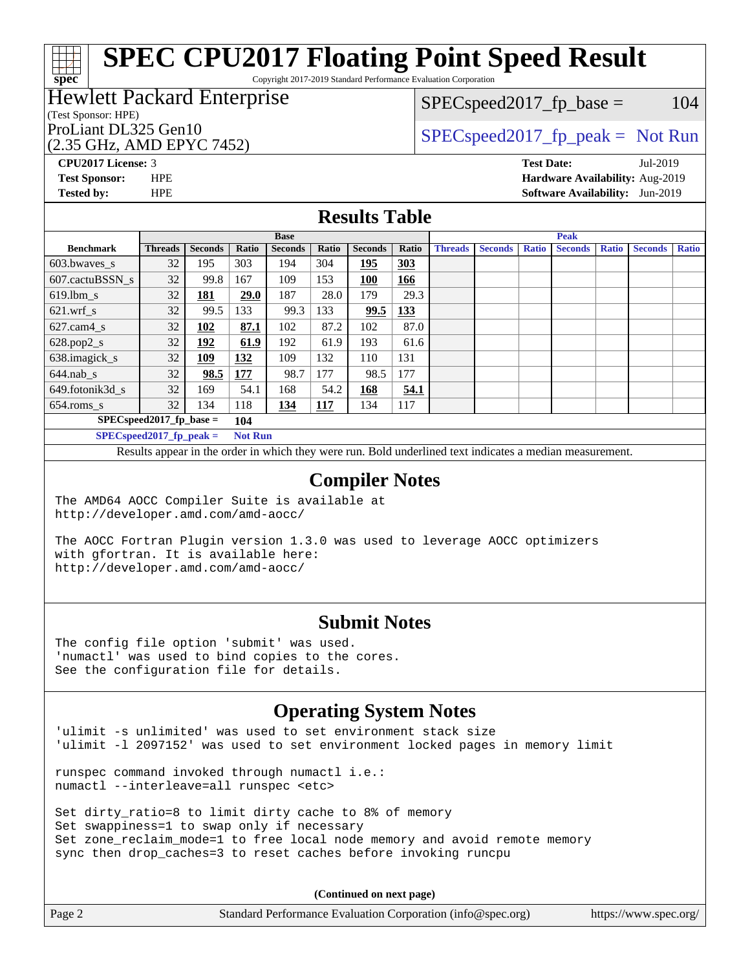Copyright 2017-2019 Standard Performance Evaluation Corporation

### Hewlett Packard Enterprise

#### (Test Sponsor: HPE)

(2.35 GHz, AMD EPYC 7452)

 $SPEC speed2017_fp\_base = 104$ 

### ProLiant DL325 Gen10  $SPEC speed2017_fp\_peak = Not Run$

**[spec](http://www.spec.org/)**

**[CPU2017 License:](http://www.spec.org/auto/cpu2017/Docs/result-fields.html#CPU2017License)** 3 **[Test Date:](http://www.spec.org/auto/cpu2017/Docs/result-fields.html#TestDate)** Jul-2019 **[Test Sponsor:](http://www.spec.org/auto/cpu2017/Docs/result-fields.html#TestSponsor)** HPE **[Hardware Availability:](http://www.spec.org/auto/cpu2017/Docs/result-fields.html#HardwareAvailability)** Aug-2019 **[Tested by:](http://www.spec.org/auto/cpu2017/Docs/result-fields.html#Testedby)** HPE **[Software Availability:](http://www.spec.org/auto/cpu2017/Docs/result-fields.html#SoftwareAvailability)** Jun-2019

#### **[Results Table](http://www.spec.org/auto/cpu2017/Docs/result-fields.html#ResultsTable)**

|                  |                                    |                |                 | <b>Base</b>    |       |                |            |                |                |              | <b>Peak</b>    |              |                |              |
|------------------|------------------------------------|----------------|-----------------|----------------|-------|----------------|------------|----------------|----------------|--------------|----------------|--------------|----------------|--------------|
| <b>Benchmark</b> | <b>Threads</b>                     | <b>Seconds</b> | Ratio           | <b>Seconds</b> | Ratio | <b>Seconds</b> | Ratio      | <b>Threads</b> | <b>Seconds</b> | <b>Ratio</b> | <b>Seconds</b> | <b>Ratio</b> | <b>Seconds</b> | <b>Ratio</b> |
| 603.bwayes s     | 32                                 | 195            | 303             | 194            | 304   | 195            | <b>303</b> |                |                |              |                |              |                |              |
| 607.cactuBSSN s  | 32                                 | 99.8           | 167             | 109            | 153   | <b>100</b>     | 166        |                |                |              |                |              |                |              |
| $619.$ lbm s     | 32                                 | <u>181</u>     | 29.0            | 187            | 28.0  | 179            | 29.3       |                |                |              |                |              |                |              |
| $621$ .wrf s     | 32                                 | 99.5           | 133             | 99.3           | 133   | 99.5           | <u>133</u> |                |                |              |                |              |                |              |
| $627$ .cam4 s    | 32                                 | 102            | 87.1            | 102            | 87.2  | 102            | 87.0       |                |                |              |                |              |                |              |
| $628.pop2_s$     | 32                                 | <u>192</u>     | 61.9            | 192            | 61.9  | 193            | 61.6       |                |                |              |                |              |                |              |
| 638.imagick_s    | 32                                 | 109            | 132             | 109            | 132   | 110            | 131        |                |                |              |                |              |                |              |
| $644$ .nab s     | 32                                 | 98.5           | 177             | 98.7           | 177   | 98.5           | 177        |                |                |              |                |              |                |              |
| 649.fotonik3d s  | 32                                 | 169.           | 54.1            | 168            | 54.2  | 168            | 54.1       |                |                |              |                |              |                |              |
| $654$ .roms s    | 32                                 | 134            | 118             | 134            | 117   | 134            | 117        |                |                |              |                |              |                |              |
|                  | $SPEC speed2017$ fp base =         |                | 104             |                |       |                |            |                |                |              |                |              |                |              |
|                  | $CDDCA_{11} + 30047$ $R_{11} + 11$ |                | $N = 4$ $N = 1$ |                |       |                |            |                |                |              |                |              |                |              |

**[SPECspeed2017\\_fp\\_peak =](http://www.spec.org/auto/cpu2017/Docs/result-fields.html#SPECspeed2017fppeak) Not Run**

Results appear in the [order in which they were run.](http://www.spec.org/auto/cpu2017/Docs/result-fields.html#RunOrder) Bold underlined text [indicates a median measurement](http://www.spec.org/auto/cpu2017/Docs/result-fields.html#Median).

#### **[Compiler Notes](http://www.spec.org/auto/cpu2017/Docs/result-fields.html#CompilerNotes)**

The AMD64 AOCC Compiler Suite is available at <http://developer.amd.com/amd-aocc/>

The AOCC Fortran Plugin version 1.3.0 was used to leverage AOCC optimizers with gfortran. It is available here: <http://developer.amd.com/amd-aocc/>

#### **[Submit Notes](http://www.spec.org/auto/cpu2017/Docs/result-fields.html#SubmitNotes)**

The config file option 'submit' was used. 'numactl' was used to bind copies to the cores. See the configuration file for details.

### **[Operating System Notes](http://www.spec.org/auto/cpu2017/Docs/result-fields.html#OperatingSystemNotes)**

'ulimit -s unlimited' was used to set environment stack size 'ulimit -l 2097152' was used to set environment locked pages in memory limit

runspec command invoked through numactl i.e.: numactl --interleave=all runspec <etc>

Set dirty\_ratio=8 to limit dirty cache to 8% of memory Set swappiness=1 to swap only if necessary Set zone\_reclaim\_mode=1 to free local node memory and avoid remote memory sync then drop\_caches=3 to reset caches before invoking runcpu

**(Continued on next page)**

| Page 2 | Standard Performance Evaluation Corporation (info@spec.org) | https://www.spec.org/ |
|--------|-------------------------------------------------------------|-----------------------|
|--------|-------------------------------------------------------------|-----------------------|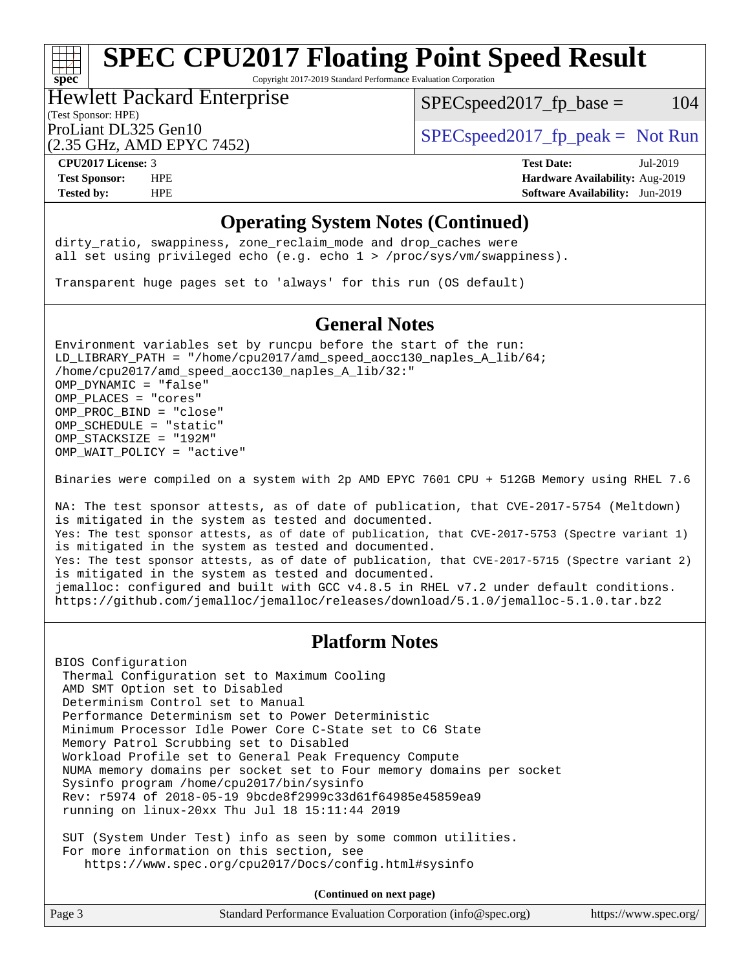Copyright 2017-2019 Standard Performance Evaluation Corporation

#### (Test Sponsor: HPE) Hewlett Packard Enterprise

 $SPEC speed2017_fp\_base = 104$ 

(2.35 GHz, AMD EPYC 7452)

ProLiant DL325 Gen10  $SPEC speed2017<sub>fp</sub> peak = Not Run$ 

**[spec](http://www.spec.org/)**

**[CPU2017 License:](http://www.spec.org/auto/cpu2017/Docs/result-fields.html#CPU2017License)** 3 **[Test Date:](http://www.spec.org/auto/cpu2017/Docs/result-fields.html#TestDate)** Jul-2019 **[Test Sponsor:](http://www.spec.org/auto/cpu2017/Docs/result-fields.html#TestSponsor)** HPE **[Hardware Availability:](http://www.spec.org/auto/cpu2017/Docs/result-fields.html#HardwareAvailability)** Aug-2019 **[Tested by:](http://www.spec.org/auto/cpu2017/Docs/result-fields.html#Testedby)** HPE **[Software Availability:](http://www.spec.org/auto/cpu2017/Docs/result-fields.html#SoftwareAvailability)** Jun-2019

#### **[Operating System Notes \(Continued\)](http://www.spec.org/auto/cpu2017/Docs/result-fields.html#OperatingSystemNotes)**

dirty\_ratio, swappiness, zone\_reclaim\_mode and drop caches were all set using privileged echo (e.g. echo 1 > /proc/sys/vm/swappiness).

Transparent huge pages set to 'always' for this run (OS default)

### **[General Notes](http://www.spec.org/auto/cpu2017/Docs/result-fields.html#GeneralNotes)**

Environment variables set by runcpu before the start of the run: LD\_LIBRARY\_PATH = "/home/cpu2017/amd\_speed\_aocc130\_naples\_A\_lib/64; /home/cpu2017/amd\_speed\_aocc130\_naples\_A\_lib/32:" OMP\_DYNAMIC = "false" OMP\_PLACES = "cores" OMP\_PROC\_BIND = "close" OMP\_SCHEDULE = "static" OMP\_STACKSIZE = "192M" OMP WAIT POLICY = "active"

Binaries were compiled on a system with 2p AMD EPYC 7601 CPU + 512GB Memory using RHEL 7.6

NA: The test sponsor attests, as of date of publication, that CVE-2017-5754 (Meltdown) is mitigated in the system as tested and documented. Yes: The test sponsor attests, as of date of publication, that CVE-2017-5753 (Spectre variant 1) is mitigated in the system as tested and documented. Yes: The test sponsor attests, as of date of publication, that CVE-2017-5715 (Spectre variant 2) is mitigated in the system as tested and documented. jemalloc: configured and built with GCC v4.8.5 in RHEL v7.2 under default conditions. <https://github.com/jemalloc/jemalloc/releases/download/5.1.0/jemalloc-5.1.0.tar.bz2>

#### **[Platform Notes](http://www.spec.org/auto/cpu2017/Docs/result-fields.html#PlatformNotes)**

BIOS Configuration Thermal Configuration set to Maximum Cooling AMD SMT Option set to Disabled Determinism Control set to Manual Performance Determinism set to Power Deterministic Minimum Processor Idle Power Core C-State set to C6 State Memory Patrol Scrubbing set to Disabled Workload Profile set to General Peak Frequency Compute NUMA memory domains per socket set to Four memory domains per socket Sysinfo program /home/cpu2017/bin/sysinfo Rev: r5974 of 2018-05-19 9bcde8f2999c33d61f64985e45859ea9 running on linux-20xx Thu Jul 18 15:11:44 2019

 SUT (System Under Test) info as seen by some common utilities. For more information on this section, see <https://www.spec.org/cpu2017/Docs/config.html#sysinfo>

**(Continued on next page)**

| Page 3 | Standard Performance Evaluation Corporation (info@spec.org) | https://www.spec.org/ |
|--------|-------------------------------------------------------------|-----------------------|
|--------|-------------------------------------------------------------|-----------------------|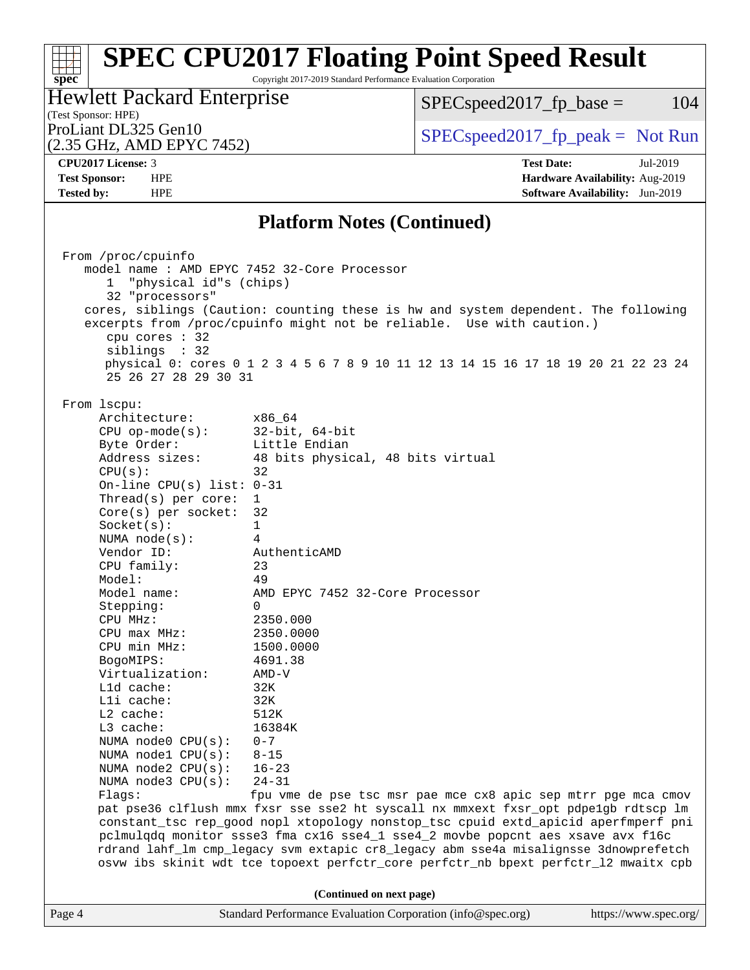Copyright 2017-2019 Standard Performance Evaluation Corporation

(Test Sponsor: HPE)<br>ProLiant DL325 Gen10 Hewlett Packard Enterprise

 $SPECspeed2017_fp\_base = 104$ 

(2.35 GHz, AMD EPYC 7452)

 $SPECspeed2017_fp\_peak = Not Run$ 

**[spec](http://www.spec.org/)**

**[CPU2017 License:](http://www.spec.org/auto/cpu2017/Docs/result-fields.html#CPU2017License)** 3 **[Test Date:](http://www.spec.org/auto/cpu2017/Docs/result-fields.html#TestDate)** Jul-2019 **[Test Sponsor:](http://www.spec.org/auto/cpu2017/Docs/result-fields.html#TestSponsor)** HPE **[Hardware Availability:](http://www.spec.org/auto/cpu2017/Docs/result-fields.html#HardwareAvailability)** Aug-2019 **[Tested by:](http://www.spec.org/auto/cpu2017/Docs/result-fields.html#Testedby)** HPE **[Software Availability:](http://www.spec.org/auto/cpu2017/Docs/result-fields.html#SoftwareAvailability)** Jun-2019

#### **[Platform Notes \(Continued\)](http://www.spec.org/auto/cpu2017/Docs/result-fields.html#PlatformNotes)**

|        | From /proc/cpuinfo<br>"physical id"s (chips)<br>$\mathbf{1}$<br>32 "processors"<br>cpu cores $: 32$<br>siblings : 32<br>25 26 27 28 29 30 31                                                                                                                                                                                                                                                                                                                                                                                                                                                                                                           | model name : AMD EPYC 7452 32-Core Processor<br>cores, siblings (Caution: counting these is hw and system dependent. The following<br>excerpts from /proc/cpuinfo might not be reliable. Use with caution.)<br>physical 0: cores 0 1 2 3 4 5 6 7 8 9 10 11 12 13 14 15 16 17 18 19 20 21 22 23 24                                                                                                                                                                                                                                                                                                                                                                                                                                                                                                                                      |                       |
|--------|--------------------------------------------------------------------------------------------------------------------------------------------------------------------------------------------------------------------------------------------------------------------------------------------------------------------------------------------------------------------------------------------------------------------------------------------------------------------------------------------------------------------------------------------------------------------------------------------------------------------------------------------------------|----------------------------------------------------------------------------------------------------------------------------------------------------------------------------------------------------------------------------------------------------------------------------------------------------------------------------------------------------------------------------------------------------------------------------------------------------------------------------------------------------------------------------------------------------------------------------------------------------------------------------------------------------------------------------------------------------------------------------------------------------------------------------------------------------------------------------------------|-----------------------|
|        | From 1scpu:<br>Architecture:<br>$CPU$ op-mode( $s$ ):<br>Byte Order:<br>Address sizes:<br>CPU(s):<br>On-line CPU(s) list: $0-31$<br>Thread(s) per core:<br>Core(s) per socket: 32<br>Socket(s):<br>NUMA node(s):<br>Vendor ID:<br>CPU family:<br>Model:<br>Model name:<br>Stepping:<br>CPU MHz:<br>$CPU$ max $MHz$ :<br>CPU min MHz:<br>BogoMIPS:<br>Virtualization:<br>L1d cache:<br>Lli cache:<br>$L2$ cache:<br>L3 cache:<br>NUMA node0 $CPU(s): 0-7$<br>NUMA $node1$ $CPU(s):$<br>NUMA node2 CPU(s):<br>NUMA $node3$ CPU $(s)$ :<br>Flags: The Flags of the Flags of the Flags of the Flags of the Flags of the Flags of the Flags of the Flags of | x86 64<br>32-bit, 64-bit<br>Little Endian<br>48 bits physical, 48 bits virtual<br>32<br>1<br>$\mathbf 1$<br>4<br>AuthenticAMD<br>23<br>49<br>AMD EPYC 7452 32-Core Processor<br>$\Omega$<br>2350.000<br>2350.0000<br>1500.0000<br>4691.38<br>AMD-V<br>32K<br>32K<br>512K<br>16384K<br>$8 - 15$<br>$16 - 23$<br>$24 - 31$<br>fpu vme de pse tsc msr pae mce cx8 apic sep mtrr pge mca cmov<br>pat pse36 clflush mmx fxsr sse sse2 ht syscall nx mmxext fxsr_opt pdpe1gb rdtscp lm<br>constant_tsc rep_good nopl xtopology nonstop_tsc cpuid extd_apicid aperfmperf pni<br>pclmulqdq monitor ssse3 fma cx16 sse4_1 sse4_2 movbe popcnt aes xsave avx f16c<br>rdrand lahf_lm cmp_legacy svm extapic cr8_legacy abm sse4a misalignsse 3dnowprefetch<br>osvw ibs skinit wdt tce topoext perfctr_core perfctr_nb bpext perfctr_12 mwaitx cpb |                       |
|        |                                                                                                                                                                                                                                                                                                                                                                                                                                                                                                                                                                                                                                                        | (Continued on next page)                                                                                                                                                                                                                                                                                                                                                                                                                                                                                                                                                                                                                                                                                                                                                                                                               |                       |
| Page 4 |                                                                                                                                                                                                                                                                                                                                                                                                                                                                                                                                                                                                                                                        | Standard Performance Evaluation Corporation (info@spec.org)                                                                                                                                                                                                                                                                                                                                                                                                                                                                                                                                                                                                                                                                                                                                                                            | https://www.spec.org/ |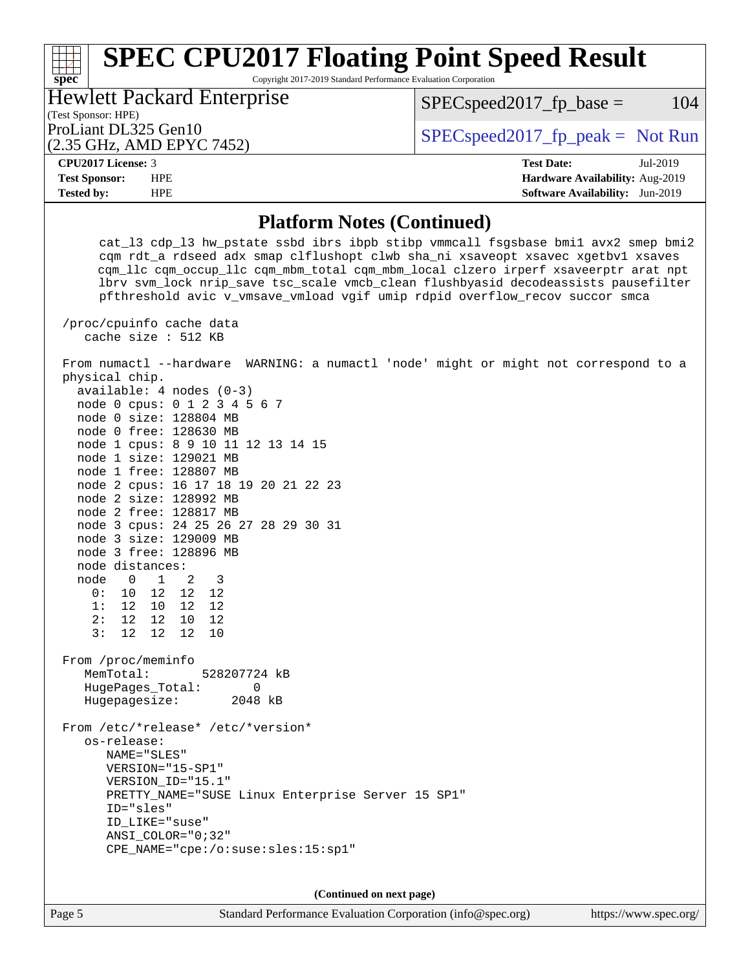Copyright 2017-2019 Standard Performance Evaluation Corporation

| <b>Hewlett Packard Enterprise</b> |  |
|-----------------------------------|--|
| (Test Sponsor: HPE)               |  |
| ProLiant DL325 Gen10              |  |
| (2.35 GHz, AMD EPYC 7452)         |  |

 $SPECspeed2017_fp\_peak = Not Run$ 

 $SPEC speed2017<sub>fp</sub> base =  $104$$ 

| 2017 L<br>CDII<br>_icense:<br>◡▴<br>.<br>$\sim$ |  | --<br>' lato:<br>`ρς1<br>. | $\gamma$<br>Jul<br>້ |
|-------------------------------------------------|--|----------------------------|----------------------|

**[spec](http://www.spec.org/)**

**[Test Sponsor:](http://www.spec.org/auto/cpu2017/Docs/result-fields.html#TestSponsor)** HPE **[Hardware Availability:](http://www.spec.org/auto/cpu2017/Docs/result-fields.html#HardwareAvailability)** Aug-2019 **[Tested by:](http://www.spec.org/auto/cpu2017/Docs/result-fields.html#Testedby)** HPE **[Software Availability:](http://www.spec.org/auto/cpu2017/Docs/result-fields.html#SoftwareAvailability)** Jun-2019

#### **[Platform Notes \(Continued\)](http://www.spec.org/auto/cpu2017/Docs/result-fields.html#PlatformNotes)**

 cat\_l3 cdp\_l3 hw\_pstate ssbd ibrs ibpb stibp vmmcall fsgsbase bmi1 avx2 smep bmi2 cqm rdt\_a rdseed adx smap clflushopt clwb sha\_ni xsaveopt xsavec xgetbv1 xsaves cqm\_llc cqm\_occup\_llc cqm\_mbm\_total cqm\_mbm\_local clzero irperf xsaveerptr arat npt lbrv svm\_lock nrip\_save tsc\_scale vmcb\_clean flushbyasid decodeassists pausefilter pfthreshold avic v\_vmsave\_vmload vgif umip rdpid overflow\_recov succor smca /proc/cpuinfo cache data cache size : 512 KB From numactl --hardware WARNING: a numactl 'node' might or might not correspond to a physical chip. available: 4 nodes (0-3) node 0 cpus: 0 1 2 3 4 5 6 7 node 0 size: 128804 MB node 0 free: 128630 MB node 1 cpus: 8 9 10 11 12 13 14 15 node 1 size: 129021 MB node 1 free: 128807 MB node 2 cpus: 16 17 18 19 20 21 22 23 node 2 size: 128992 MB node 2 free: 128817 MB node 3 cpus: 24 25 26 27 28 29 30 31 node 3 size: 129009 MB node 3 free: 128896 MB node distances: node 0 1 2 3 0: 10 12 12 12 1: 12 10 12 12 2: 12 12 10 12 3: 12 12 12 10 From /proc/meminfo MemTotal: 528207724 kB HugePages\_Total: 0 Hugepagesize: 2048 kB From /etc/\*release\* /etc/\*version\* os-release: NAME="SLES" VERSION="15-SP1" VERSION\_ID="15.1" PRETTY NAME="SUSE Linux Enterprise Server 15 SP1" ID="sles" ID\_LIKE="suse" ANSI\_COLOR="0;32" CPE\_NAME="cpe:/o:suse:sles:15:sp1"

**(Continued on next page)**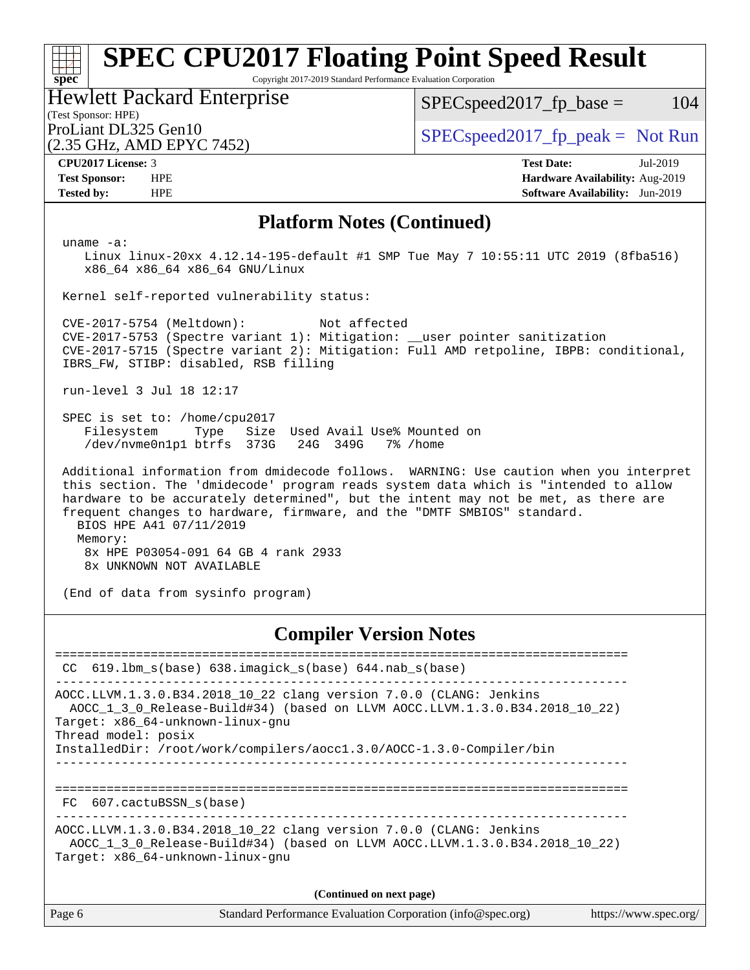Copyright 2017-2019 Standard Performance Evaluation Corporation

(Test Sponsor: HPE) Hewlett Packard Enterprise

(2.35 GHz, AMD EPYC 7452)

 $SPEC speed2017_fp\_base = 104$ 

ProLiant DL325 Gen10  $SPEC speed2017_f$   $peak = Not Run$ 

**[spec](http://www.spec.org/)**

**[CPU2017 License:](http://www.spec.org/auto/cpu2017/Docs/result-fields.html#CPU2017License)** 3 **[Test Date:](http://www.spec.org/auto/cpu2017/Docs/result-fields.html#TestDate)** Jul-2019 **[Test Sponsor:](http://www.spec.org/auto/cpu2017/Docs/result-fields.html#TestSponsor)** HPE **[Hardware Availability:](http://www.spec.org/auto/cpu2017/Docs/result-fields.html#HardwareAvailability)** Aug-2019 **[Tested by:](http://www.spec.org/auto/cpu2017/Docs/result-fields.html#Testedby)** HPE **[Software Availability:](http://www.spec.org/auto/cpu2017/Docs/result-fields.html#SoftwareAvailability)** Jun-2019

#### **[Platform Notes \(Continued\)](http://www.spec.org/auto/cpu2017/Docs/result-fields.html#PlatformNotes)**

uname -a:

 Linux linux-20xx 4.12.14-195-default #1 SMP Tue May 7 10:55:11 UTC 2019 (8fba516) x86\_64 x86\_64 x86\_64 GNU/Linux

Kernel self-reported vulnerability status:

 CVE-2017-5754 (Meltdown): Not affected CVE-2017-5753 (Spectre variant 1): Mitigation: \_\_user pointer sanitization CVE-2017-5715 (Spectre variant 2): Mitigation: Full AMD retpoline, IBPB: conditional, IBRS\_FW, STIBP: disabled, RSB filling

run-level 3 Jul 18 12:17

 SPEC is set to: /home/cpu2017 Filesystem Type Size Used Avail Use% Mounted on /dev/nvme0n1p1 btrfs 373G 24G 349G 7% /home

 Additional information from dmidecode follows. WARNING: Use caution when you interpret this section. The 'dmidecode' program reads system data which is "intended to allow hardware to be accurately determined", but the intent may not be met, as there are frequent changes to hardware, firmware, and the "DMTF SMBIOS" standard. BIOS HPE A41 07/11/2019 Memory: 8x HPE P03054-091 64 GB 4 rank 2933

8x UNKNOWN NOT AVAILABLE

(End of data from sysinfo program)

#### **[Compiler Version Notes](http://www.spec.org/auto/cpu2017/Docs/result-fields.html#CompilerVersionNotes)**

============================================================================== CC 619.lbm\_s(base) 638.imagick\_s(base) 644.nab\_s(base) ------------------------------------------------------------------------------ AOCC.LLVM.1.3.0.B34.2018\_10\_22 clang version 7.0.0 (CLANG: Jenkins AOCC\_1\_3\_0\_Release-Build#34) (based on LLVM AOCC.LLVM.1.3.0.B34.2018\_10\_22) Target: x86\_64-unknown-linux-gnu Thread model: posix InstalledDir: /root/work/compilers/aocc1.3.0/AOCC-1.3.0-Compiler/bin ------------------------------------------------------------------------------ ============================================================================== FC 607.cactuBSSN\_s(base) ------------------------------------------------------------------------------ AOCC.LLVM.1.3.0.B34.2018\_10\_22 clang version 7.0.0 (CLANG: Jenkins AOCC\_1\_3\_0\_Release-Build#34) (based on LLVM AOCC.LLVM.1.3.0.B34.2018\_10\_22) Target: x86\_64-unknown-linux-gnu **(Continued on next page)**

Page 6 Standard Performance Evaluation Corporation [\(info@spec.org\)](mailto:info@spec.org) <https://www.spec.org/>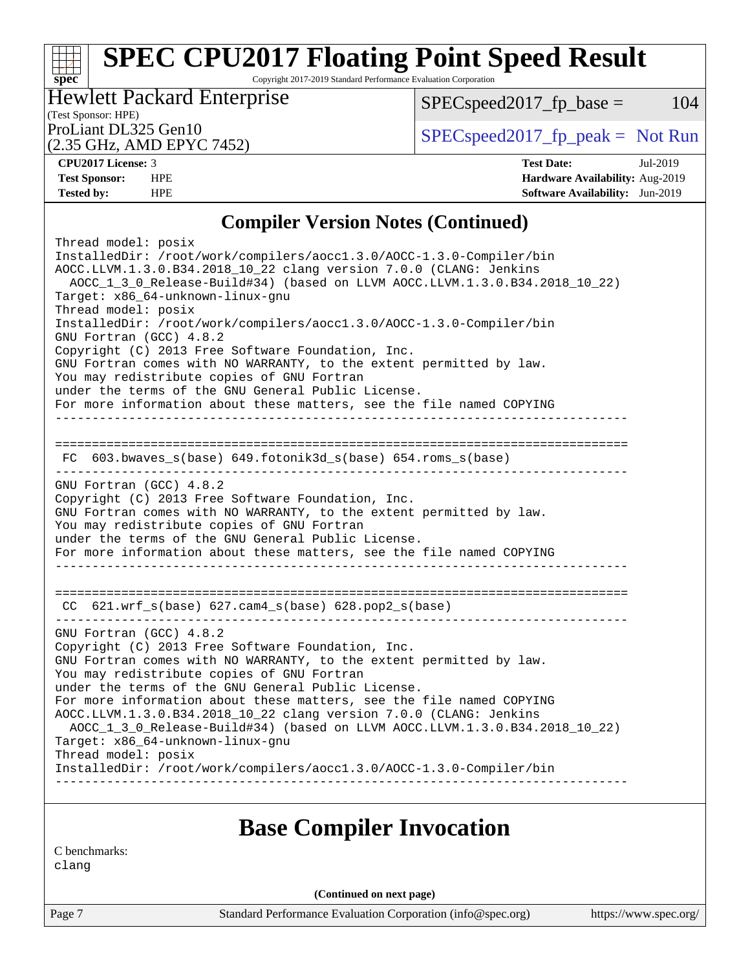Copyright 2017-2019 Standard Performance Evaluation Corporation

(Test Sponsor: HPE) Hewlett Packard Enterprise

(2.35 GHz, AMD EPYC 7452)

ProLiant DL325 Gen10  $SPEC speed2017$  [p\_peak = Not Run

 $SPECspeed2017_fp\_base = 104$ 

**[spec](http://www.spec.org/)**

**[CPU2017 License:](http://www.spec.org/auto/cpu2017/Docs/result-fields.html#CPU2017License)** 3 **[Test Date:](http://www.spec.org/auto/cpu2017/Docs/result-fields.html#TestDate)** Jul-2019 **[Test Sponsor:](http://www.spec.org/auto/cpu2017/Docs/result-fields.html#TestSponsor)** HPE **[Hardware Availability:](http://www.spec.org/auto/cpu2017/Docs/result-fields.html#HardwareAvailability)** Aug-2019 **[Tested by:](http://www.spec.org/auto/cpu2017/Docs/result-fields.html#Testedby)** HPE **[Software Availability:](http://www.spec.org/auto/cpu2017/Docs/result-fields.html#SoftwareAvailability)** Jun-2019

### **[Compiler Version Notes \(Continued\)](http://www.spec.org/auto/cpu2017/Docs/result-fields.html#CompilerVersionNotes)**

| Thread model: posix<br>InstalledDir: /root/work/compilers/aoccl.3.0/AOCC-1.3.0-Compiler/bin<br>AOCC.LLVM.1.3.0.B34.2018_10_22 clang version 7.0.0 (CLANG: Jenkins<br>AOCC_1_3_0_Release-Build#34) (based on LLVM AOCC.LLVM.1.3.0.B34.2018_10_22)<br>Target: x86_64-unknown-linux-gnu<br>Thread model: posix<br>InstalledDir: /root/work/compilers/aoccl.3.0/AOCC-1.3.0-Compiler/bin<br>GNU Fortran (GCC) 4.8.2<br>Copyright (C) 2013 Free Software Foundation, Inc.<br>GNU Fortran comes with NO WARRANTY, to the extent permitted by law.<br>You may redistribute copies of GNU Fortran<br>under the terms of the GNU General Public License.<br>For more information about these matters, see the file named COPYING<br>______________________________________ |
|------------------------------------------------------------------------------------------------------------------------------------------------------------------------------------------------------------------------------------------------------------------------------------------------------------------------------------------------------------------------------------------------------------------------------------------------------------------------------------------------------------------------------------------------------------------------------------------------------------------------------------------------------------------------------------------------------------------------------------------------------------------|
| $FC$ 603.bwaves_s(base) 649.fotonik3d_s(base) 654.roms_s(base)                                                                                                                                                                                                                                                                                                                                                                                                                                                                                                                                                                                                                                                                                                   |
| GNU Fortran (GCC) 4.8.2<br>Copyright (C) 2013 Free Software Foundation, Inc.<br>GNU Fortran comes with NO WARRANTY, to the extent permitted by law.<br>You may redistribute copies of GNU Fortran<br>under the terms of the GNU General Public License.<br>For more information about these matters, see the file named COPYING                                                                                                                                                                                                                                                                                                                                                                                                                                  |
| CC 621.wrf_s(base) 627.cam4_s(base) 628.pop2_s(base)                                                                                                                                                                                                                                                                                                                                                                                                                                                                                                                                                                                                                                                                                                             |
| GNU Fortran (GCC) 4.8.2<br>Copyright (C) 2013 Free Software Foundation, Inc.<br>GNU Fortran comes with NO WARRANTY, to the extent permitted by law.<br>You may redistribute copies of GNU Fortran<br>under the terms of the GNU General Public License.<br>For more information about these matters, see the file named COPYING<br>AOCC.LLVM.1.3.0.B34.2018_10_22 clang version 7.0.0 (CLANG: Jenkins<br>AOCC_1_3_0_Release-Build#34) (based on LLVM AOCC.LLVM.1.3.0.B34.2018_10_22)<br>Target: x86_64-unknown-linux-gnu<br>Thread model: posix<br>InstalledDir: /root/work/compilers/aocc1.3.0/AOCC-1.3.0-Compiler/bin                                                                                                                                          |
|                                                                                                                                                                                                                                                                                                                                                                                                                                                                                                                                                                                                                                                                                                                                                                  |

### **[Base Compiler Invocation](http://www.spec.org/auto/cpu2017/Docs/result-fields.html#BaseCompilerInvocation)**

[C benchmarks:](http://www.spec.org/auto/cpu2017/Docs/result-fields.html#Cbenchmarks) [clang](http://www.spec.org/cpu2017/results/res2019q3/cpu2017-20190723-16396.flags.html#user_CCbase_clang-c)

**(Continued on next page)**

Page 7 Standard Performance Evaluation Corporation [\(info@spec.org\)](mailto:info@spec.org) <https://www.spec.org/>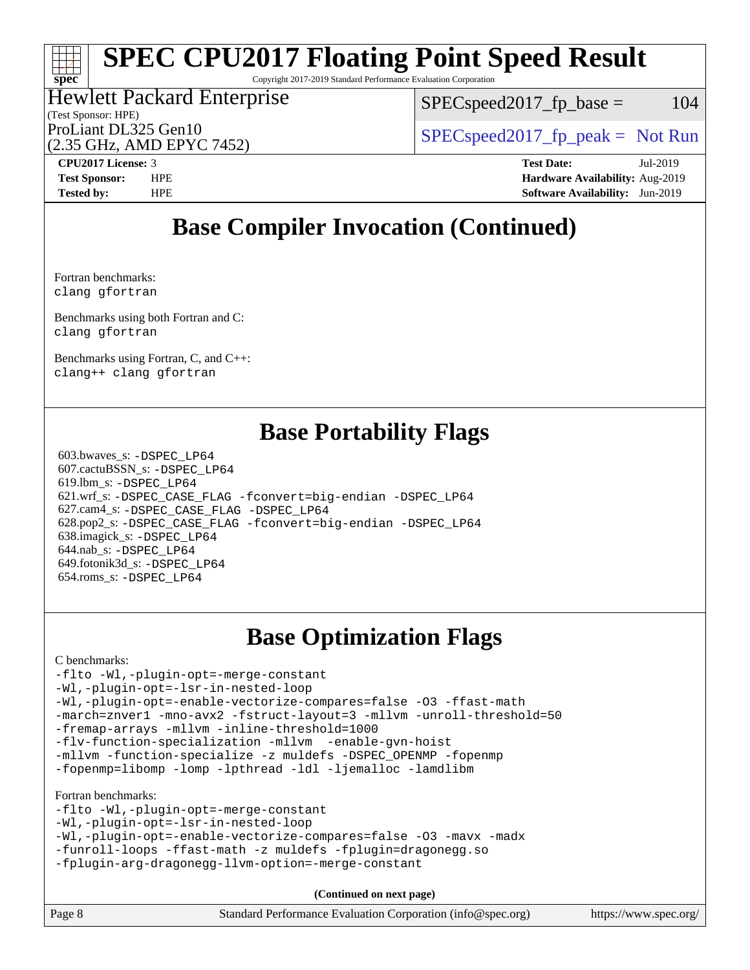Copyright 2017-2019 Standard Performance Evaluation Corporation

#### (Test Sponsor: HPE) Hewlett Packard Enterprise (2.35 GHz, AMD EPYC 7452) ProLiant DL325 Gen10  $SPEC speed2017_fp\_peak = Not Run$

 $SPEC speed2017_fp\_base = 104$ 

# **[CPU2017 License:](http://www.spec.org/auto/cpu2017/Docs/result-fields.html#CPU2017License)** 3 **[Test Date:](http://www.spec.org/auto/cpu2017/Docs/result-fields.html#TestDate)** Jul-2019

**[spec](http://www.spec.org/)**

**[Test Sponsor:](http://www.spec.org/auto/cpu2017/Docs/result-fields.html#TestSponsor)** HPE **[Hardware Availability:](http://www.spec.org/auto/cpu2017/Docs/result-fields.html#HardwareAvailability)** Aug-2019 **[Tested by:](http://www.spec.org/auto/cpu2017/Docs/result-fields.html#Testedby)** HPE **[Software Availability:](http://www.spec.org/auto/cpu2017/Docs/result-fields.html#SoftwareAvailability)** Jun-2019

### **[Base Compiler Invocation \(Continued\)](http://www.spec.org/auto/cpu2017/Docs/result-fields.html#BaseCompilerInvocation)**

[Fortran benchmarks](http://www.spec.org/auto/cpu2017/Docs/result-fields.html#Fortranbenchmarks): [clang](http://www.spec.org/cpu2017/results/res2019q3/cpu2017-20190723-16396.flags.html#user_FCbase_clang-c) [gfortran](http://www.spec.org/cpu2017/results/res2019q3/cpu2017-20190723-16396.flags.html#user_FCbase_aocc-gfortran_128c91a56d61ddb07404721e65b8f9498c31a443dacbd3b7f212891090eca86e2d099b520f75b99e9e8ac4fdec01f4d15f0b65e47123ec4c42b0759045731a1f)

[Benchmarks using both Fortran and C:](http://www.spec.org/auto/cpu2017/Docs/result-fields.html#BenchmarksusingbothFortranandC) [clang](http://www.spec.org/cpu2017/results/res2019q3/cpu2017-20190723-16396.flags.html#user_CC_FCbase_clang-c) [gfortran](http://www.spec.org/cpu2017/results/res2019q3/cpu2017-20190723-16396.flags.html#user_CC_FCbase_aocc-gfortran_128c91a56d61ddb07404721e65b8f9498c31a443dacbd3b7f212891090eca86e2d099b520f75b99e9e8ac4fdec01f4d15f0b65e47123ec4c42b0759045731a1f)

[Benchmarks using Fortran, C, and C++:](http://www.spec.org/auto/cpu2017/Docs/result-fields.html#BenchmarksusingFortranCandCXX) [clang++](http://www.spec.org/cpu2017/results/res2019q3/cpu2017-20190723-16396.flags.html#user_CC_CXX_FCbase_clang-cpp) [clang](http://www.spec.org/cpu2017/results/res2019q3/cpu2017-20190723-16396.flags.html#user_CC_CXX_FCbase_clang-c) [gfortran](http://www.spec.org/cpu2017/results/res2019q3/cpu2017-20190723-16396.flags.html#user_CC_CXX_FCbase_aocc-gfortran_128c91a56d61ddb07404721e65b8f9498c31a443dacbd3b7f212891090eca86e2d099b520f75b99e9e8ac4fdec01f4d15f0b65e47123ec4c42b0759045731a1f)

### **[Base Portability Flags](http://www.spec.org/auto/cpu2017/Docs/result-fields.html#BasePortabilityFlags)**

 603.bwaves\_s: [-DSPEC\\_LP64](http://www.spec.org/cpu2017/results/res2019q3/cpu2017-20190723-16396.flags.html#suite_baseEXTRA_PORTABILITY603_bwaves_s_DSPEC_LP64) 607.cactuBSSN\_s: [-DSPEC\\_LP64](http://www.spec.org/cpu2017/results/res2019q3/cpu2017-20190723-16396.flags.html#suite_baseEXTRA_PORTABILITY607_cactuBSSN_s_DSPEC_LP64) 619.lbm\_s: [-DSPEC\\_LP64](http://www.spec.org/cpu2017/results/res2019q3/cpu2017-20190723-16396.flags.html#suite_baseEXTRA_PORTABILITY619_lbm_s_DSPEC_LP64) 621.wrf\_s: [-DSPEC\\_CASE\\_FLAG](http://www.spec.org/cpu2017/results/res2019q3/cpu2017-20190723-16396.flags.html#b621.wrf_s_baseCPORTABILITY_DSPEC_CASE_FLAG) [-fconvert=big-endian](http://www.spec.org/cpu2017/results/res2019q3/cpu2017-20190723-16396.flags.html#user_baseFPORTABILITY621_wrf_s_F-fconvert) [-DSPEC\\_LP64](http://www.spec.org/cpu2017/results/res2019q3/cpu2017-20190723-16396.flags.html#suite_baseEXTRA_PORTABILITY621_wrf_s_DSPEC_LP64) 627.cam4\_s: [-DSPEC\\_CASE\\_FLAG](http://www.spec.org/cpu2017/results/res2019q3/cpu2017-20190723-16396.flags.html#b627.cam4_s_basePORTABILITY_DSPEC_CASE_FLAG) [-DSPEC\\_LP64](http://www.spec.org/cpu2017/results/res2019q3/cpu2017-20190723-16396.flags.html#suite_baseEXTRA_PORTABILITY627_cam4_s_DSPEC_LP64) 628.pop2\_s: [-DSPEC\\_CASE\\_FLAG](http://www.spec.org/cpu2017/results/res2019q3/cpu2017-20190723-16396.flags.html#b628.pop2_s_baseCPORTABILITY_DSPEC_CASE_FLAG) [-fconvert=big-endian](http://www.spec.org/cpu2017/results/res2019q3/cpu2017-20190723-16396.flags.html#user_baseFPORTABILITY628_pop2_s_F-fconvert) [-DSPEC\\_LP64](http://www.spec.org/cpu2017/results/res2019q3/cpu2017-20190723-16396.flags.html#suite_baseEXTRA_PORTABILITY628_pop2_s_DSPEC_LP64) 638.imagick\_s: [-DSPEC\\_LP64](http://www.spec.org/cpu2017/results/res2019q3/cpu2017-20190723-16396.flags.html#suite_baseEXTRA_PORTABILITY638_imagick_s_DSPEC_LP64) 644.nab\_s: [-DSPEC\\_LP64](http://www.spec.org/cpu2017/results/res2019q3/cpu2017-20190723-16396.flags.html#suite_baseEXTRA_PORTABILITY644_nab_s_DSPEC_LP64) 649.fotonik3d\_s: [-DSPEC\\_LP64](http://www.spec.org/cpu2017/results/res2019q3/cpu2017-20190723-16396.flags.html#suite_baseEXTRA_PORTABILITY649_fotonik3d_s_DSPEC_LP64) 654.roms\_s: [-DSPEC\\_LP64](http://www.spec.org/cpu2017/results/res2019q3/cpu2017-20190723-16396.flags.html#suite_baseEXTRA_PORTABILITY654_roms_s_DSPEC_LP64)

## **[Base Optimization Flags](http://www.spec.org/auto/cpu2017/Docs/result-fields.html#BaseOptimizationFlags)**

[C benchmarks](http://www.spec.org/auto/cpu2017/Docs/result-fields.html#Cbenchmarks):

```
-flto -Wl,-plugin-opt=-merge-constant
-Wl,-plugin-opt=-lsr-in-nested-loop
-Wl,-plugin-opt=-enable-vectorize-compares=false -O3 -ffast-math
-march=znver1 -mno-avx2 -fstruct-layout=3 -mllvm -unroll-threshold=50
-fremap-arrays -mllvm -inline-threshold=1000
-flv-function-specialization -mllvm -enable-gvn-hoist
-mllvm -function-specialize -z muldefs -DSPEC_OPENMP -fopenmp
-fopenmp=libomp -lomp -lpthread -ldl -ljemalloc -lamdlibm
Fortran benchmarks: 
-flto -Wl,-plugin-opt=-merge-constant
-Wl,-plugin-opt=-lsr-in-nested-loop
-Wl,-plugin-opt=-enable-vectorize-compares=false -O3 -mavx -madx
-funroll-loops -ffast-math -z muldefs -fplugin=dragonegg.so
-fplugin-arg-dragonegg-llvm-option=-merge-constant
                                    (Continued on next page)
```

|--|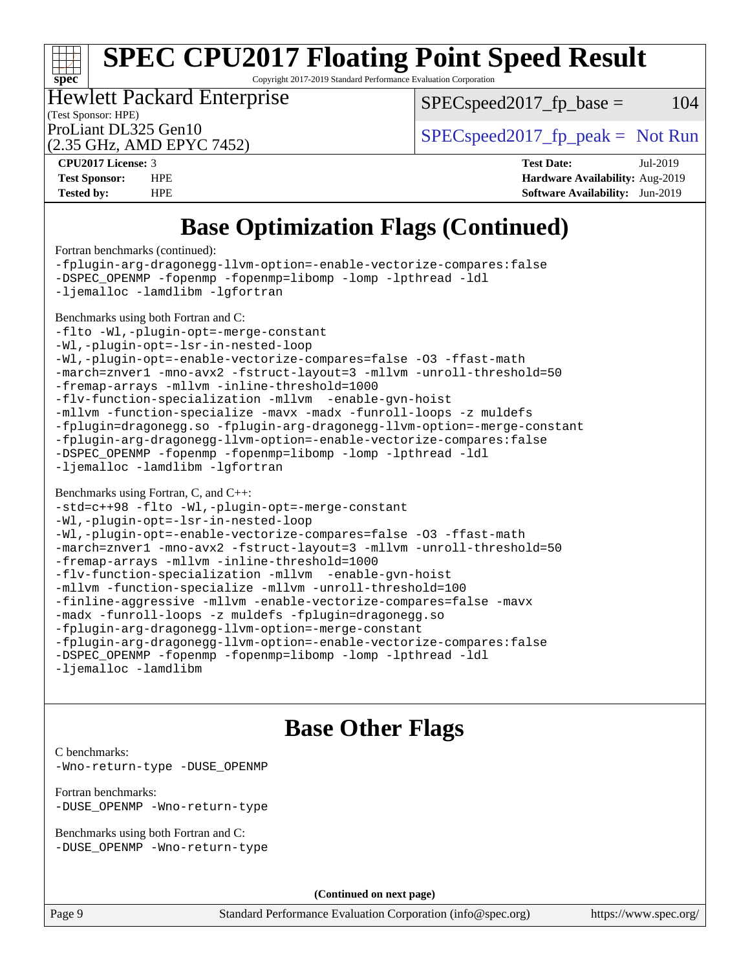Copyright 2017-2019 Standard Performance Evaluation Corporation

(Test Sponsor: HPE) Hewlett Packard Enterprise

 $SPEC speed2017<sub>fp</sub> base =  $104$$ 

(2.35 GHz, AMD EPYC 7452)

ProLiant DL325 Gen10  $SPEC speed2017$  [p\_peak = Not Run

**[spec](http://www.spec.org/)**

**[CPU2017 License:](http://www.spec.org/auto/cpu2017/Docs/result-fields.html#CPU2017License)** 3 **[Test Date:](http://www.spec.org/auto/cpu2017/Docs/result-fields.html#TestDate)** Jul-2019 **[Test Sponsor:](http://www.spec.org/auto/cpu2017/Docs/result-fields.html#TestSponsor)** HPE **[Hardware Availability:](http://www.spec.org/auto/cpu2017/Docs/result-fields.html#HardwareAvailability)** Aug-2019 **[Tested by:](http://www.spec.org/auto/cpu2017/Docs/result-fields.html#Testedby)** HPE **[Software Availability:](http://www.spec.org/auto/cpu2017/Docs/result-fields.html#SoftwareAvailability)** Jun-2019

## **[Base Optimization Flags \(Continued\)](http://www.spec.org/auto/cpu2017/Docs/result-fields.html#BaseOptimizationFlags)**

[Fortran benchmarks](http://www.spec.org/auto/cpu2017/Docs/result-fields.html#Fortranbenchmarks) (continued):

[-fplugin-arg-dragonegg-llvm-option=-enable-vectorize-compares:false](http://www.spec.org/cpu2017/results/res2019q3/cpu2017-20190723-16396.flags.html#user_FCbase_disable-vectorize-compares_d4094b735d9772f5001bab891b2a0f9b1e0f937da6fdfe4e9819ace3776bcc13a4b4fcd9a28f53dc5d73dd9ab9700532467376ddc09187e57c9ec8837a5c2d32) [-DSPEC\\_OPENMP](http://www.spec.org/cpu2017/results/res2019q3/cpu2017-20190723-16396.flags.html#suite_FCbase_DSPEC_OPENMP) [-fopenmp](http://www.spec.org/cpu2017/results/res2019q3/cpu2017-20190723-16396.flags.html#user_FCbase_F-fopenmp) [-fopenmp=libomp](http://www.spec.org/cpu2017/results/res2019q3/cpu2017-20190723-16396.flags.html#user_FCbase_F-fopenmp_3eb6ab80166bcc84161ff8c20c8d5bc344f88119f45620444596454f7d72e99b7a0ceefc2d1b4d190bd07306bbfdfc20f11f5a2dc69c9b03c72239f8406741c3) [-lomp](http://www.spec.org/cpu2017/results/res2019q3/cpu2017-20190723-16396.flags.html#user_FCbase_F-lomp) [-lpthread](http://www.spec.org/cpu2017/results/res2019q3/cpu2017-20190723-16396.flags.html#user_FCbase_F-lpthread) [-ldl](http://www.spec.org/cpu2017/results/res2019q3/cpu2017-20190723-16396.flags.html#user_FCbase_F-ldl) [-ljemalloc](http://www.spec.org/cpu2017/results/res2019q3/cpu2017-20190723-16396.flags.html#user_FCbase_jemalloc-lib) [-lamdlibm](http://www.spec.org/cpu2017/results/res2019q3/cpu2017-20190723-16396.flags.html#user_FCbase_F-lamdlibm) [-lgfortran](http://www.spec.org/cpu2017/results/res2019q3/cpu2017-20190723-16396.flags.html#user_FCbase_F-lgfortran) [Benchmarks using both Fortran and C](http://www.spec.org/auto/cpu2017/Docs/result-fields.html#BenchmarksusingbothFortranandC): [-flto](http://www.spec.org/cpu2017/results/res2019q3/cpu2017-20190723-16396.flags.html#user_CC_FCbase_aocc-flto) [-Wl,-plugin-opt=-merge-constant](http://www.spec.org/cpu2017/results/res2019q3/cpu2017-20190723-16396.flags.html#user_CC_FCbase_F-merge-constant_1d79771b5442061d9c8e05556c6b0c655e6c9e66f8c6936b0129d434b6acd2b1cf1b7cd2540d1570ff636111b08a6bc36e2e61fc34531f8ef7c1a34c57be1dbb) [-Wl,-plugin-opt=-lsr-in-nested-loop](http://www.spec.org/cpu2017/results/res2019q3/cpu2017-20190723-16396.flags.html#user_CC_FCbase_lsr-in-nested-loop_1cff93fd95162f5e77640b5271e8bed680fb62b4a8d96fb8ab217ff3244646f1fbb342e31af83c263403bbf5249c7dc7732d5c86c3eab4cc8d32dcb7a6f33ca0) [-Wl,-plugin-opt=-enable-vectorize-compares=false](http://www.spec.org/cpu2017/results/res2019q3/cpu2017-20190723-16396.flags.html#user_CC_FCbase_disable-vectorize-compares_b853f8418a42cc06a425f4a16db6b380d14e00519cd0324381fbe3b5fed198752fe9eb4cd4ff428f878821db69d9c031475f4f5f073a0fc0b0734450034716e8) [-O3](http://www.spec.org/cpu2017/results/res2019q3/cpu2017-20190723-16396.flags.html#user_CC_FCbase_F-O3) [-ffast-math](http://www.spec.org/cpu2017/results/res2019q3/cpu2017-20190723-16396.flags.html#user_CC_FCbase_aocc-ffast-math) [-march=znver1](http://www.spec.org/cpu2017/results/res2019q3/cpu2017-20190723-16396.flags.html#user_CC_FCbase_aocc-march) [-mno-avx2](http://www.spec.org/cpu2017/results/res2019q3/cpu2017-20190723-16396.flags.html#user_CC_FCbase_F-mno-avx2) [-fstruct-layout=3](http://www.spec.org/cpu2017/results/res2019q3/cpu2017-20190723-16396.flags.html#user_CC_FCbase_struct-layout) [-mllvm -unroll-threshold=50](http://www.spec.org/cpu2017/results/res2019q3/cpu2017-20190723-16396.flags.html#user_CC_FCbase_unroll-threshold_458874500b2c105d6d5cb4d7a611c40e2b16e9e3d26b355fea72d644c3673b4de4b3932662f0ed3dbec75c491a13da2d2ca81180bd779dc531083ef1e1e549dc) [-fremap-arrays](http://www.spec.org/cpu2017/results/res2019q3/cpu2017-20190723-16396.flags.html#user_CC_FCbase_F-fremap-arrays) [-mllvm -inline-threshold=1000](http://www.spec.org/cpu2017/results/res2019q3/cpu2017-20190723-16396.flags.html#user_CC_FCbase_dragonegg-llvm-inline-threshold_b7832241b0a6397e4ecdbaf0eb7defdc10f885c2a282fa3240fdc99844d543fda39cf8a4a9dccf68cf19b5438ac3b455264f478df15da0f4988afa40d8243bab) [-flv-function-specialization](http://www.spec.org/cpu2017/results/res2019q3/cpu2017-20190723-16396.flags.html#user_CC_FCbase_F-flv-function-specialization) [-mllvm -enable-gvn-hoist](http://www.spec.org/cpu2017/results/res2019q3/cpu2017-20190723-16396.flags.html#user_CC_FCbase_F-enable-gvn-hoist_98f0171d4f818d7f97896885cc39145d9c6ec6ecaa45bb289c3a12839072136e4af160d9bd95e903e60fee72c4a35db75799b8a57e2b8d1ccd3b6c61417e660c) [-mllvm -function-specialize](http://www.spec.org/cpu2017/results/res2019q3/cpu2017-20190723-16396.flags.html#user_CC_FCbase_function-specialize_233b3bdba86027f1b094368157e481c5bc59f40286dc25bfadc1858dcd5745c24fd30d5f188710db7fea399bcc9f44a80b3ce3aacc70a8870250c3ae5e1f35b8) [-mavx](http://www.spec.org/cpu2017/results/res2019q3/cpu2017-20190723-16396.flags.html#user_CC_FCbase_F-mavx) [-madx](http://www.spec.org/cpu2017/results/res2019q3/cpu2017-20190723-16396.flags.html#user_CC_FCbase_F-madx) [-funroll-loops](http://www.spec.org/cpu2017/results/res2019q3/cpu2017-20190723-16396.flags.html#user_CC_FCbase_aocc-unroll-loops) [-z muldefs](http://www.spec.org/cpu2017/results/res2019q3/cpu2017-20190723-16396.flags.html#user_CC_FCbase_aocc-muldefs) [-fplugin=dragonegg.so](http://www.spec.org/cpu2017/results/res2019q3/cpu2017-20190723-16396.flags.html#user_CC_FCbase_plugin-DragonEgg) [-fplugin-arg-dragonegg-llvm-option=-merge-constant](http://www.spec.org/cpu2017/results/res2019q3/cpu2017-20190723-16396.flags.html#user_CC_FCbase_F-merge-constant_37fd66d07a4fbae8f1b816e843c3ed1ebaa48f794b65ea8be746a1880566a3d23eba4a3c37b5c024650311adcf9247c62af28144803b3729b14be14423fa5142) [-fplugin-arg-dragonegg-llvm-option=-enable-vectorize-compares:false](http://www.spec.org/cpu2017/results/res2019q3/cpu2017-20190723-16396.flags.html#user_CC_FCbase_disable-vectorize-compares_d4094b735d9772f5001bab891b2a0f9b1e0f937da6fdfe4e9819ace3776bcc13a4b4fcd9a28f53dc5d73dd9ab9700532467376ddc09187e57c9ec8837a5c2d32) [-DSPEC\\_OPENMP](http://www.spec.org/cpu2017/results/res2019q3/cpu2017-20190723-16396.flags.html#suite_CC_FCbase_DSPEC_OPENMP) [-fopenmp](http://www.spec.org/cpu2017/results/res2019q3/cpu2017-20190723-16396.flags.html#user_CC_FCbase_F-fopenmp) [-fopenmp=libomp](http://www.spec.org/cpu2017/results/res2019q3/cpu2017-20190723-16396.flags.html#user_CC_FCbase_F-fopenmp_3eb6ab80166bcc84161ff8c20c8d5bc344f88119f45620444596454f7d72e99b7a0ceefc2d1b4d190bd07306bbfdfc20f11f5a2dc69c9b03c72239f8406741c3) [-lomp](http://www.spec.org/cpu2017/results/res2019q3/cpu2017-20190723-16396.flags.html#user_CC_FCbase_F-lomp) [-lpthread](http://www.spec.org/cpu2017/results/res2019q3/cpu2017-20190723-16396.flags.html#user_CC_FCbase_F-lpthread) [-ldl](http://www.spec.org/cpu2017/results/res2019q3/cpu2017-20190723-16396.flags.html#user_CC_FCbase_F-ldl) [-ljemalloc](http://www.spec.org/cpu2017/results/res2019q3/cpu2017-20190723-16396.flags.html#user_CC_FCbase_jemalloc-lib) [-lamdlibm](http://www.spec.org/cpu2017/results/res2019q3/cpu2017-20190723-16396.flags.html#user_CC_FCbase_F-lamdlibm) [-lgfortran](http://www.spec.org/cpu2017/results/res2019q3/cpu2017-20190723-16396.flags.html#user_CC_FCbase_F-lgfortran) [Benchmarks using Fortran, C, and C++:](http://www.spec.org/auto/cpu2017/Docs/result-fields.html#BenchmarksusingFortranCandCXX) [-std=c++98](http://www.spec.org/cpu2017/results/res2019q3/cpu2017-20190723-16396.flags.html#user_CC_CXX_FCbase_std-cpp) [-flto](http://www.spec.org/cpu2017/results/res2019q3/cpu2017-20190723-16396.flags.html#user_CC_CXX_FCbase_aocc-flto) [-Wl,-plugin-opt=-merge-constant](http://www.spec.org/cpu2017/results/res2019q3/cpu2017-20190723-16396.flags.html#user_CC_CXX_FCbase_F-merge-constant_1d79771b5442061d9c8e05556c6b0c655e6c9e66f8c6936b0129d434b6acd2b1cf1b7cd2540d1570ff636111b08a6bc36e2e61fc34531f8ef7c1a34c57be1dbb) [-Wl,-plugin-opt=-lsr-in-nested-loop](http://www.spec.org/cpu2017/results/res2019q3/cpu2017-20190723-16396.flags.html#user_CC_CXX_FCbase_lsr-in-nested-loop_1cff93fd95162f5e77640b5271e8bed680fb62b4a8d96fb8ab217ff3244646f1fbb342e31af83c263403bbf5249c7dc7732d5c86c3eab4cc8d32dcb7a6f33ca0) [-Wl,-plugin-opt=-enable-vectorize-compares=false](http://www.spec.org/cpu2017/results/res2019q3/cpu2017-20190723-16396.flags.html#user_CC_CXX_FCbase_disable-vectorize-compares_b853f8418a42cc06a425f4a16db6b380d14e00519cd0324381fbe3b5fed198752fe9eb4cd4ff428f878821db69d9c031475f4f5f073a0fc0b0734450034716e8) [-O3](http://www.spec.org/cpu2017/results/res2019q3/cpu2017-20190723-16396.flags.html#user_CC_CXX_FCbase_F-O3) [-ffast-math](http://www.spec.org/cpu2017/results/res2019q3/cpu2017-20190723-16396.flags.html#user_CC_CXX_FCbase_aocc-ffast-math) [-march=znver1](http://www.spec.org/cpu2017/results/res2019q3/cpu2017-20190723-16396.flags.html#user_CC_CXX_FCbase_aocc-march) [-mno-avx2](http://www.spec.org/cpu2017/results/res2019q3/cpu2017-20190723-16396.flags.html#user_CC_CXX_FCbase_F-mno-avx2) [-fstruct-layout=3](http://www.spec.org/cpu2017/results/res2019q3/cpu2017-20190723-16396.flags.html#user_CC_CXX_FCbase_struct-layout) [-mllvm -unroll-threshold=50](http://www.spec.org/cpu2017/results/res2019q3/cpu2017-20190723-16396.flags.html#user_CC_CXX_FCbase_unroll-threshold_458874500b2c105d6d5cb4d7a611c40e2b16e9e3d26b355fea72d644c3673b4de4b3932662f0ed3dbec75c491a13da2d2ca81180bd779dc531083ef1e1e549dc) [-fremap-arrays](http://www.spec.org/cpu2017/results/res2019q3/cpu2017-20190723-16396.flags.html#user_CC_CXX_FCbase_F-fremap-arrays) [-mllvm -inline-threshold=1000](http://www.spec.org/cpu2017/results/res2019q3/cpu2017-20190723-16396.flags.html#user_CC_CXX_FCbase_dragonegg-llvm-inline-threshold_b7832241b0a6397e4ecdbaf0eb7defdc10f885c2a282fa3240fdc99844d543fda39cf8a4a9dccf68cf19b5438ac3b455264f478df15da0f4988afa40d8243bab) [-flv-function-specialization](http://www.spec.org/cpu2017/results/res2019q3/cpu2017-20190723-16396.flags.html#user_CC_CXX_FCbase_F-flv-function-specialization) [-mllvm -enable-gvn-hoist](http://www.spec.org/cpu2017/results/res2019q3/cpu2017-20190723-16396.flags.html#user_CC_CXX_FCbase_F-enable-gvn-hoist_98f0171d4f818d7f97896885cc39145d9c6ec6ecaa45bb289c3a12839072136e4af160d9bd95e903e60fee72c4a35db75799b8a57e2b8d1ccd3b6c61417e660c) [-mllvm -function-specialize](http://www.spec.org/cpu2017/results/res2019q3/cpu2017-20190723-16396.flags.html#user_CC_CXX_FCbase_function-specialize_233b3bdba86027f1b094368157e481c5bc59f40286dc25bfadc1858dcd5745c24fd30d5f188710db7fea399bcc9f44a80b3ce3aacc70a8870250c3ae5e1f35b8) [-mllvm -unroll-threshold=100](http://www.spec.org/cpu2017/results/res2019q3/cpu2017-20190723-16396.flags.html#user_CC_CXX_FCbase_unroll-threshold_2755d0c78138845d361fa1543e3a063fffa198df9b3edf0cfb856bbc88a81e1769b12ac7a550c5d35197be55360db1a3f95a8d1304df999456cabf5120c45168) [-finline-aggressive](http://www.spec.org/cpu2017/results/res2019q3/cpu2017-20190723-16396.flags.html#user_CC_CXX_FCbase_F-finline-aggressive) [-mllvm -enable-vectorize-compares=false](http://www.spec.org/cpu2017/results/res2019q3/cpu2017-20190723-16396.flags.html#user_CC_CXX_FCbase_disable-vectorize-compares_744e96dfaf0e6a0a8f558ad1f5117f7c029494e749ba2ce0369b998eced2f14f36c9acf9c44ff6efbd2349df21357d03f05694bcf5c1bda7e49ae93e191b7f84) [-mavx](http://www.spec.org/cpu2017/results/res2019q3/cpu2017-20190723-16396.flags.html#user_CC_CXX_FCbase_F-mavx) [-madx](http://www.spec.org/cpu2017/results/res2019q3/cpu2017-20190723-16396.flags.html#user_CC_CXX_FCbase_F-madx) [-funroll-loops](http://www.spec.org/cpu2017/results/res2019q3/cpu2017-20190723-16396.flags.html#user_CC_CXX_FCbase_aocc-unroll-loops) [-z muldefs](http://www.spec.org/cpu2017/results/res2019q3/cpu2017-20190723-16396.flags.html#user_CC_CXX_FCbase_aocc-muldefs) [-fplugin=dragonegg.so](http://www.spec.org/cpu2017/results/res2019q3/cpu2017-20190723-16396.flags.html#user_CC_CXX_FCbase_plugin-DragonEgg) [-fplugin-arg-dragonegg-llvm-option=-merge-constant](http://www.spec.org/cpu2017/results/res2019q3/cpu2017-20190723-16396.flags.html#user_CC_CXX_FCbase_F-merge-constant_37fd66d07a4fbae8f1b816e843c3ed1ebaa48f794b65ea8be746a1880566a3d23eba4a3c37b5c024650311adcf9247c62af28144803b3729b14be14423fa5142) [-fplugin-arg-dragonegg-llvm-option=-enable-vectorize-compares:false](http://www.spec.org/cpu2017/results/res2019q3/cpu2017-20190723-16396.flags.html#user_CC_CXX_FCbase_disable-vectorize-compares_d4094b735d9772f5001bab891b2a0f9b1e0f937da6fdfe4e9819ace3776bcc13a4b4fcd9a28f53dc5d73dd9ab9700532467376ddc09187e57c9ec8837a5c2d32)

[-DSPEC\\_OPENMP](http://www.spec.org/cpu2017/results/res2019q3/cpu2017-20190723-16396.flags.html#suite_CC_CXX_FCbase_DSPEC_OPENMP) [-fopenmp](http://www.spec.org/cpu2017/results/res2019q3/cpu2017-20190723-16396.flags.html#user_CC_CXX_FCbase_F-fopenmp) [-fopenmp=libomp](http://www.spec.org/cpu2017/results/res2019q3/cpu2017-20190723-16396.flags.html#user_CC_CXX_FCbase_F-fopenmp_3eb6ab80166bcc84161ff8c20c8d5bc344f88119f45620444596454f7d72e99b7a0ceefc2d1b4d190bd07306bbfdfc20f11f5a2dc69c9b03c72239f8406741c3) [-lomp](http://www.spec.org/cpu2017/results/res2019q3/cpu2017-20190723-16396.flags.html#user_CC_CXX_FCbase_F-lomp) [-lpthread](http://www.spec.org/cpu2017/results/res2019q3/cpu2017-20190723-16396.flags.html#user_CC_CXX_FCbase_F-lpthread) [-ldl](http://www.spec.org/cpu2017/results/res2019q3/cpu2017-20190723-16396.flags.html#user_CC_CXX_FCbase_F-ldl)

[-ljemalloc](http://www.spec.org/cpu2017/results/res2019q3/cpu2017-20190723-16396.flags.html#user_CC_CXX_FCbase_jemalloc-lib) [-lamdlibm](http://www.spec.org/cpu2017/results/res2019q3/cpu2017-20190723-16396.flags.html#user_CC_CXX_FCbase_F-lamdlibm)

### **[Base Other Flags](http://www.spec.org/auto/cpu2017/Docs/result-fields.html#BaseOtherFlags)**

[C benchmarks](http://www.spec.org/auto/cpu2017/Docs/result-fields.html#Cbenchmarks): [-Wno-return-type](http://www.spec.org/cpu2017/results/res2019q3/cpu2017-20190723-16396.flags.html#user_CCbase_F-Wno-return-type) [-DUSE\\_OPENMP](http://www.spec.org/cpu2017/results/res2019q3/cpu2017-20190723-16396.flags.html#user_CCbase_F-DUSE_OPENMP)

[Fortran benchmarks](http://www.spec.org/auto/cpu2017/Docs/result-fields.html#Fortranbenchmarks): [-DUSE\\_OPENMP](http://www.spec.org/cpu2017/results/res2019q3/cpu2017-20190723-16396.flags.html#user_FCbase_F-DUSE_OPENMP) [-Wno-return-type](http://www.spec.org/cpu2017/results/res2019q3/cpu2017-20190723-16396.flags.html#user_FCbase_F-Wno-return-type)

[Benchmarks using both Fortran and C](http://www.spec.org/auto/cpu2017/Docs/result-fields.html#BenchmarksusingbothFortranandC): [-DUSE\\_OPENMP](http://www.spec.org/cpu2017/results/res2019q3/cpu2017-20190723-16396.flags.html#user_CC_FCbase_F-DUSE_OPENMP) [-Wno-return-type](http://www.spec.org/cpu2017/results/res2019q3/cpu2017-20190723-16396.flags.html#user_CC_FCbase_F-Wno-return-type)

**(Continued on next page)**

Page 9 Standard Performance Evaluation Corporation [\(info@spec.org\)](mailto:info@spec.org) <https://www.spec.org/>